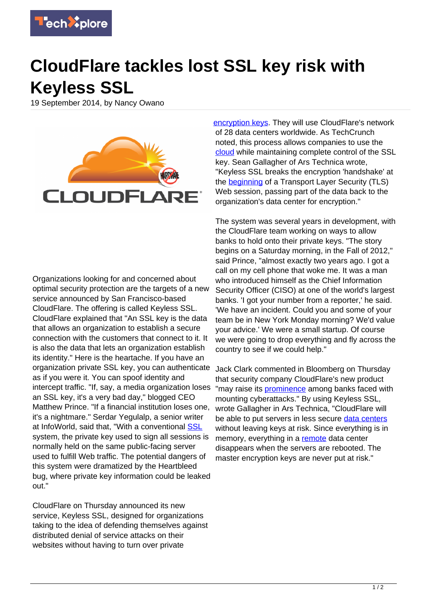

## **CloudFlare tackles lost SSL key risk with Keyless SSL**

19 September 2014, by Nancy Owano



Organizations looking for and concerned about optimal security protection are the targets of a new service announced by San Francisco-based CloudFlare. The offering is called Keyless SSL. CloudFlare explained that "An SSL key is the data that allows an organization to establish a secure connection with the customers that connect to it. It is also the data that lets an organization establish its identity." Here is the heartache. If you have an organization private SSL key, you can authenticate as if you were it. You can spoof identity and intercept traffic. "If, say, a media organization loses an SSL key, it's a very bad day," blogged CEO Matthew Prince. "If a financial institution loses one, it's a nightmare." Serdar Yegulalp, a senior writer at InfoWorld, said that, "With a conventional **SSL** system, the private key used to sign all sessions is normally held on the same public-facing server used to fulfill Web traffic. The potential dangers of this system were dramatized by the Heartbleed bug, where private key information could be leaked out."

CloudFlare on Thursday announced its new service, Keyless SSL, designed for organizations taking to the idea of defending themselves against distributed denial of service attacks on their websites without having to turn over private

[encryption keys](https://techxplore.com/tags/encryption+keys/). They will use CloudFlare's network of 28 data centers worldwide. As TechCrunch noted, this process allows companies to use the [cloud](http://techcrunch.com/2014/09/18/cloudflares-new-keyless-ssl-could-open-cloud-to-financial-institutions/) while maintaining complete control of the SSL key. Sean Gallagher of Ars Technica wrote, "Keyless SSL breaks the encryption 'handshake' at the [beginning](http://arstechnica.com/information-technology/2014/09/in-depth-how-cloudflares-new-web-service-promises-security-without-the-key/) of a Transport Layer Security (TLS) Web session, passing part of the data back to the organization's data center for encryption."

The system was several years in development, with the CloudFlare team working on ways to allow banks to hold onto their private keys. "The story begins on a Saturday morning, in the Fall of 2012," said Prince, "almost exactly two years ago. I got a call on my cell phone that woke me. It was a man who introduced himself as the Chief Information Security Officer (CISO) at one of the world's largest banks. 'I got your number from a reporter,' he said. 'We have an incident. Could you and some of your team be in New York Monday morning? We'd value your advice.' We were a small startup. Of course we were going to drop everything and fly across the country to see if we could help."

Jack Clark commented in Bloomberg on Thursday that security company CloudFlare's new product "may raise its [prominence](http://www.bloomberg.com/news/2014-09-18/cloudflare-unveils-keyless-security-product-after-hacks.html) among banks faced with mounting cyberattacks." By using Keyless SSL, wrote Gallagher in Ars Technica, "CloudFlare will be able to put servers in less secure [data centers](https://techxplore.com/tags/data+centers/) without leaving keys at risk. Since everything is in memory, everything in a [remote](http://arstechnica.com/information-technology/2014/09/in-depth-how-cloudflares-new-web-service-promises-security-without-the-key/) data center disappears when the servers are rebooted. The master encryption keys are never put at risk."